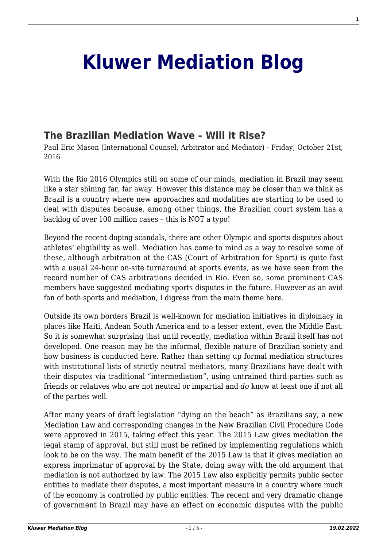## **[Kluwer Mediation Blog](http://mediationblog.kluwerarbitration.com/)**

## **[The Brazilian Mediation Wave – Will It Rise?](http://mediationblog.kluwerarbitration.com/2016/10/21/the-brazilian-mediation-wave-will-it-rise/)**

Paul Eric Mason (International Counsel, Arbitrator and Mediator) · Friday, October 21st, 2016

With the Rio 2016 Olympics still on some of our minds, mediation in Brazil may seem like a star shining far, far away. However this distance may be closer than we think as Brazil is a country where new approaches and modalities are starting to be used to deal with disputes because, among other things, the Brazilian court system has a backlog of over 100 million cases – this is NOT a typo!

Beyond the recent doping scandals, there are other Olympic and sports disputes about athletes' eligibility as well. Mediation has come to mind as a way to resolve some of these, although arbitration at the CAS (Court of Arbitration for Sport) is quite fast with a usual 24-hour on-site turnaround at sports events, as we have seen from the record number of CAS arbitrations decided in Rio. Even so, some prominent CAS members have suggested mediating sports disputes in the future. However as an avid fan of both sports and mediation, I digress from the main theme here.

Outside its own borders Brazil is well-known for mediation initiatives in diplomacy in places like Haiti, Andean South America and to a lesser extent, even the Middle East. So it is somewhat surprising that until recently, mediation within Brazil itself has not developed. One reason may be the informal, flexible nature of Brazilian society and how business is conducted here. Rather than setting up formal mediation structures with institutional lists of strictly neutral mediators, many Brazilians have dealt with their disputes via traditional "intermediation", using untrained third parties such as friends or relatives who are not neutral or impartial and *do* know at least one if not all of the parties well.

After many years of draft legislation "dying on the beach" as Brazilians say, a new Mediation Law and corresponding changes in the New Brazilian Civil Procedure Code were approved in 2015, taking effect this year. The 2015 Law gives mediation the legal stamp of approval, but still must be refined by implementing regulations which look to be on the way. The main benefit of the 2015 Law is that it gives mediation an express imprimatur of approval by the State, doing away with the old argument that mediation is not authorized by law. The 2015 Law also explicitly permits public sector entities to mediate their disputes, a most important measure in a country where much of the economy is controlled by public entities. The recent and very dramatic change of government in Brazil may have an effect on economic disputes with the public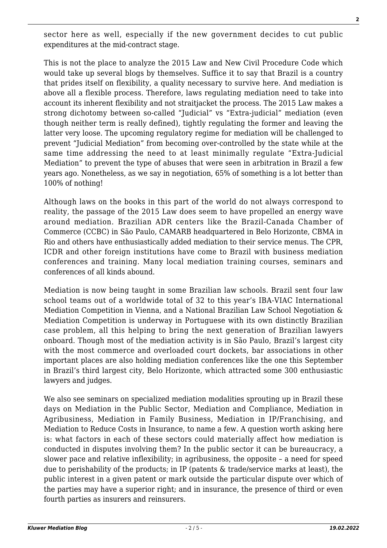sector here as well, especially if the new government decides to cut public expenditures at the mid-contract stage.

This is not the place to analyze the 2015 Law and New Civil Procedure Code which would take up several blogs by themselves. Suffice it to say that Brazil is a country that prides itself on flexibility, a quality necessary to survive here. And mediation is above all a flexible process. Therefore, laws regulating mediation need to take into account its inherent flexibility and not straitjacket the process. The 2015 Law makes a strong dichotomy between so-called "Judicial" vs "Extra-judicial" mediation (even though neither term is really defined), tightly regulating the former and leaving the latter very loose. The upcoming regulatory regime for mediation will be challenged to prevent "Judicial Mediation" from becoming over-controlled by the state while at the same time addressing the need to at least minimally regulate "Extra-Judicial Mediation" to prevent the type of abuses that were seen in arbitration in Brazil a few years ago. Nonetheless, as we say in negotiation, 65% of something is a lot better than 100% of nothing!

Although laws on the books in this part of the world do not always correspond to reality, the passage of the 2015 Law does seem to have propelled an energy wave around mediation. Brazilian ADR centers like the Brazil-Canada Chamber of Commerce (CCBC) in São Paulo, CAMARB headquartered in Belo Horizonte, CBMA in Rio and others have enthusiastically added mediation to their service menus. The CPR, ICDR and other foreign institutions have come to Brazil with business mediation conferences and training. Many local mediation training courses, seminars and conferences of all kinds abound.

Mediation is now being taught in some Brazilian law schools. Brazil sent four law school teams out of a worldwide total of 32 to this year's IBA-VIAC International Mediation Competition in Vienna, and a National Brazilian Law School Negotiation & Mediation Competition is underway in Portuguese with its own distinctly Brazilian case problem, all this helping to bring the next generation of Brazilian lawyers onboard. Though most of the mediation activity is in São Paulo, Brazil's largest city with the most commerce and overloaded court dockets, bar associations in other important places are also holding mediation conferences like the one this September in Brazil's third largest city, Belo Horizonte, which attracted some 300 enthusiastic lawyers and judges.

We also see seminars on specialized mediation modalities sprouting up in Brazil these days on Mediation in the Public Sector, Mediation and Compliance, Mediation in Agribusiness, Mediation in Family Business, Mediation in IP/Franchising, and Mediation to Reduce Costs in Insurance, to name a few. A question worth asking here is: what factors in each of these sectors could materially affect how mediation is conducted in disputes involving them? In the public sector it can be bureaucracy, a slower pace and relative inflexibility; in agribusiness, the opposite – a need for speed due to perishability of the products; in IP (patents & trade/service marks at least), the public interest in a given patent or mark outside the particular dispute over which of the parties may have a superior right; and in insurance, the presence of third or even fourth parties as insurers and reinsurers.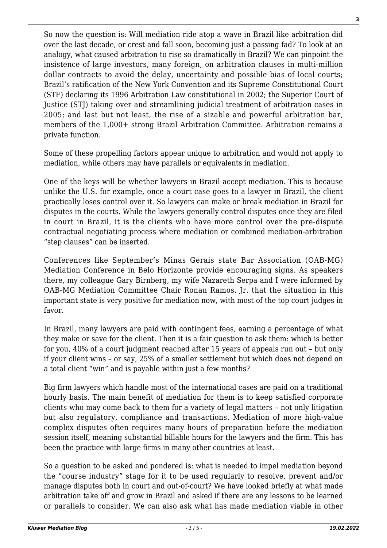So now the question is: Will mediation ride atop a wave in Brazil like arbitration did over the last decade, or crest and fall soon, becoming just a passing fad? To look at an analogy, what caused arbitration to rise so dramatically in Brazil? We can pinpoint the insistence of large investors, many foreign, on arbitration clauses in multi-million dollar contracts to avoid the delay, uncertainty and possible bias of local courts; Brazil's ratification of the New York Convention and its Supreme Constitutional Court (STF) declaring its 1996 Arbitration Law constitutional in 2002; the Superior Court of Justice (STJ) taking over and streamlining judicial treatment of arbitration cases in 2005; and last but not least, the rise of a sizable and powerful arbitration bar, members of the 1,000+ strong Brazil Arbitration Committee. Arbitration remains a private function.

Some of these propelling factors appear unique to arbitration and would not apply to mediation, while others may have parallels or equivalents in mediation.

One of the keys will be whether lawyers in Brazil accept mediation. This is because unlike the U.S. for example, once a court case goes to a lawyer in Brazil, the client practically loses control over it. So lawyers can make or break mediation in Brazil for disputes in the courts. While the lawyers generally control disputes once they are filed in court in Brazil, it is the clients who have more control over the pre-dispute contractual negotiating process where mediation or combined mediation-arbitration "step clauses" can be inserted.

Conferences like September's Minas Gerais state Bar Association (OAB-MG) Mediation Conference in Belo Horizonte provide encouraging signs. As speakers there, my colleague Gary Birnberg, my wife Nazareth Serpa and I were informed by OAB-MG Mediation Committee Chair Ronan Ramos, Jr. that the situation in this important state is very positive for mediation now, with most of the top court judges in favor.

In Brazil, many lawyers are paid with contingent fees, earning a percentage of what they make or save for the client. Then it is a fair question to ask them: which is better for you, 40% of a court judgment reached after 15 years of appeals run out – but only if your client wins – or say, 25% of a smaller settlement but which does not depend on a total client "win" and is payable within just a few months?

Big firm lawyers which handle most of the international cases are paid on a traditional hourly basis. The main benefit of mediation for them is to keep satisfied corporate clients who may come back to them for a variety of legal matters – not only litigation but also regulatory, compliance and transactions. Mediation of more high-value complex disputes often requires many hours of preparation before the mediation session itself, meaning substantial billable hours for the lawyers and the firm. This has been the practice with large firms in many other countries at least.

So a question to be asked and pondered is: what is needed to impel mediation beyond the "course industry" stage for it to be used regularly to resolve, prevent and/or manage disputes both in court and out-of-court? We have looked briefly at what made arbitration take off and grow in Brazil and asked if there are any lessons to be learned or parallels to consider. We can also ask what has made mediation viable in other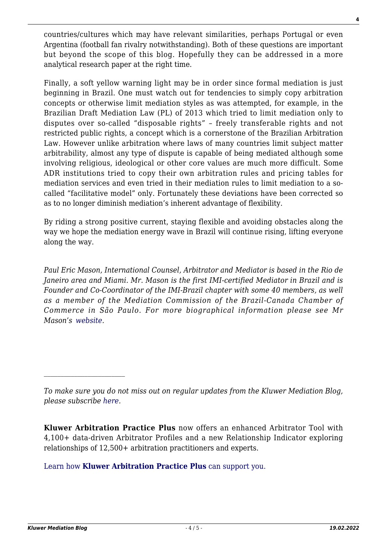countries/cultures which may have relevant similarities, perhaps Portugal or even Argentina (football fan rivalry notwithstanding). Both of these questions are important but beyond the scope of this blog. Hopefully they can be addressed in a more analytical research paper at the right time.

Finally, a soft yellow warning light may be in order since formal mediation is just beginning in Brazil. One must watch out for tendencies to simply copy arbitration concepts or otherwise limit mediation styles as was attempted, for example, in the Brazilian Draft Mediation Law (PL) of 2013 which tried to limit mediation only to disputes over so-called "disposable rights" – freely transferable rights and not restricted public rights, a concept which is a cornerstone of the Brazilian Arbitration Law. However unlike arbitration where laws of many countries limit subject matter arbitrability, almost any type of dispute is capable of being mediated although some involving religious, ideological or other core values are much more difficult. Some ADR institutions tried to copy their own arbitration rules and pricing tables for mediation services and even tried in their mediation rules to limit mediation to a socalled "facilitative model" only. Fortunately these deviations have been corrected so as to no longer diminish mediation's inherent advantage of flexibility.

By riding a strong positive current, staying flexible and avoiding obstacles along the way we hope the mediation energy wave in Brazil will continue rising, lifting everyone along the way.

*Paul Eric Mason, International Counsel, Arbitrator and Mediator is based in the Rio de Janeiro area and Miami. Mr. Mason is the first IMI-certified Mediator in Brazil and is Founder and Co-Coordinator of the IMI-Brazil chapter with some 40 members, as well as a member of the Mediation Commission of the Brazil-Canada Chamber of Commerce in São Paulo. For more biographical information please see Mr Mason's [website](http://www.paulmason.info).*

**Kluwer Arbitration Practice Plus** now offers an enhanced Arbitrator Tool with 4,100+ data-driven Arbitrator Profiles and a new Relationship Indicator exploring relationships of 12,500+ arbitration practitioners and experts.

[Learn how](https://www.wolterskluwer.com/en/solutions/kluwerarbitration/practiceplus?utm_source=mediationblog&utm_medium=articleCTA&utm_campaign=article-banner) **[Kluwer Arbitration Practice Plus](https://www.wolterskluwer.com/en/solutions/kluwerarbitration/practiceplus?utm_source=mediationblog&utm_medium=articleCTA&utm_campaign=article-banner)** [can support you.](https://www.wolterskluwer.com/en/solutions/kluwerarbitration/practiceplus?utm_source=mediationblog&utm_medium=articleCTA&utm_campaign=article-banner)

*To make sure you do not miss out on regular updates from the Kluwer Mediation Blog, please subscribe [here.](http://mediationblog.kluwerarbitration.com/newsletter/)*